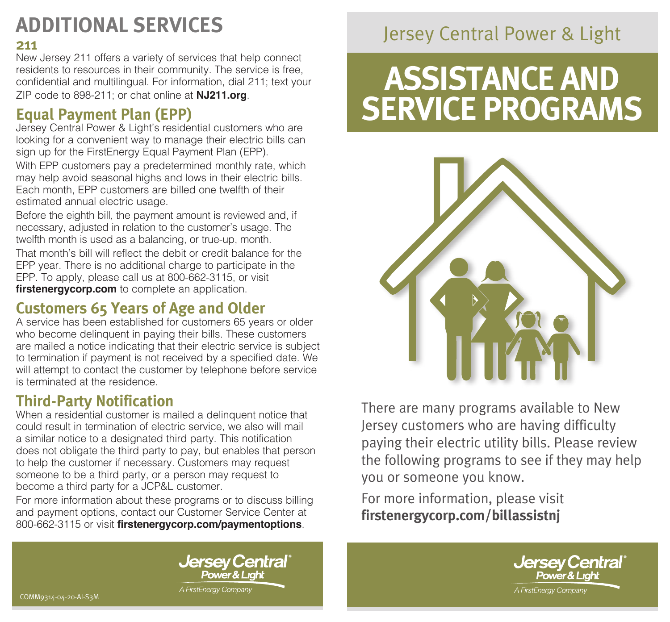# **ADDITIONAL SERVICES**

#### **211**

New Jersey 211 offers a variety of services that help connect residents to resources in their community. The service is free, confidential and multilingual. For information, dial 211; text your ZIP code to 898-211; or chat online at **[NJ211.org](https://nj211.org/)**.

# **Equal Payment Plan (EPP)**

Jersey Central Power & Light's residential customers who are looking for a convenient way to manage their electric bills can sign up for the FirstEnergy Equal Payment Plan (EPP).

With EPP customers pay a predetermined monthly rate, which may help avoid seasonal highs and lows in their electric bills. Each month, EPP customers are billed one twelfth of their estimated annual electric usage.

Before the eighth bill, the payment amount is reviewed and, if necessary, adjusted in relation to the customer's usage. The twelfth month is used as a balancing, or true-up, month.

That month's bill will reflect the debit or credit balance for the EPP year. There is no additional charge to participate in the EPP. To apply, please call us at 800-662-3115, or visit **[firstenergycorp.com](https://firstenergycorp.com/fehome.html)** to complete an application.

### **Customers 65 Years of Age and Older**

A service has been established for customers 65 years or older who become delinquent in paying their bills. These customers are mailed a notice indicating that their electric service is subject to termination if payment is not received by a specified date. We will attempt to contact the customer by telephone before service is terminated at the residence.

# **Third-Party Notification**

When a residential customer is mailed a delinquent notice that could result in termination of electric service, we also will mail a similar notice to a designated third party. This notification does not obligate the third party to pay, but enables that person to help the customer if necessary. Customers may request someone to be a third party, or a person may request to become a third party for a JCP&L customer.

For more information about these programs or to discuss billing and payment options, contact our Customer Service Center at 800-662-3115 or visit **[firstenergycorp.com/paymentoptions](https://firstenergycorp.com/help/billingpayments.html)**.

**Jersey Central** 

Power & Liahl

A FirstEnergy Company

# Jersey Central Power & Light

# **ASSISTANCE AND SERVICE PROGRAMS**



There are many programs available to New Jersey customers who are having difficulty paying their electric utility bills. Please review the following programs to see if they may help you or someone you know.

For more information, please visit **[firstenergycorp.com/billassistnj](https://firstenergycorp.com/help/billingpayments/assistance_serviceprogram/jersey_central_powerlight.html)**



COMM9314-04-20-AI-S3M